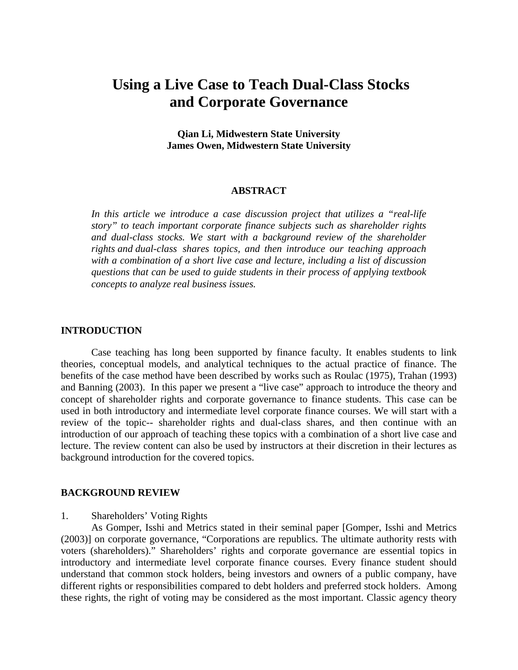# **Using a Live Case to Teach Dual-Class Stocks and Corporate Governance**

**Qian Li, Midwestern State University James Owen, Midwestern State University** 

### **ABSTRACT**

*In this article we introduce a case discussion project that utilizes a "real-life story" to teach important corporate finance subjects such as shareholder rights and dual-class stocks. We start with a background review of the shareholder rights and dual-class shares topics, and then introduce our teaching approach with a combination of a short live case and lecture, including a list of discussion questions that can be used to guide students in their process of applying textbook concepts to analyze real business issues.* 

#### **INTRODUCTION**

Case teaching has long been supported by finance faculty. It enables students to link theories, conceptual models, and analytical techniques to the actual practice of finance. The benefits of the case method have been described by works such as Roulac (1975), Trahan (1993) and Banning (2003). In this paper we present a "live case" approach to introduce the theory and concept of shareholder rights and corporate governance to finance students. This case can be used in both introductory and intermediate level corporate finance courses. We will start with a review of the topic-- shareholder rights and dual-class shares, and then continue with an introduction of our approach of teaching these topics with a combination of a short live case and lecture. The review content can also be used by instructors at their discretion in their lectures as background introduction for the covered topics.

### **BACKGROUND REVIEW**

## 1. Shareholders' Voting Rights

As Gomper, Isshi and Metrics stated in their seminal paper [Gomper, Isshi and Metrics (2003)] on corporate governance, "Corporations are republics. The ultimate authority rests with voters (shareholders)." Shareholders' rights and corporate governance are essential topics in introductory and intermediate level corporate finance courses. Every finance student should understand that common stock holders, being investors and owners of a public company, have different rights or responsibilities compared to debt holders and preferred stock holders. Among these rights, the right of voting may be considered as the most important. Classic agency theory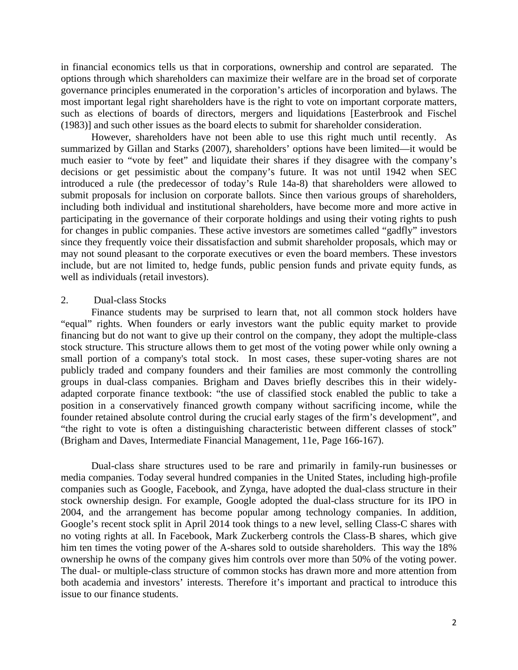in financial economics tells us that in corporations, ownership and control are separated. The options through which shareholders can maximize their welfare are in the broad set of corporate governance principles enumerated in the corporation's articles of incorporation and bylaws. The most important legal right shareholders have is the right to vote on important corporate matters, such as elections of boards of directors, mergers and liquidations [Easterbrook and Fischel (1983)] and such other issues as the board elects to submit for shareholder consideration.

However, shareholders have not been able to use this right much until recently. As summarized by Gillan and Starks (2007), shareholders' options have been limited—it would be much easier to "vote by feet" and liquidate their shares if they disagree with the company's decisions or get pessimistic about the company's future. It was not until 1942 when SEC introduced a rule (the predecessor of today's Rule 14a-8) that shareholders were allowed to submit proposals for inclusion on corporate ballots. Since then various groups of shareholders, including both individual and institutional shareholders, have become more and more active in participating in the governance of their corporate holdings and using their voting rights to push for changes in public companies. These active investors are sometimes called "gadfly" investors since they frequently voice their dissatisfaction and submit shareholder proposals, which may or may not sound pleasant to the corporate executives or even the board members. These investors include, but are not limited to, hedge funds, public pension funds and private equity funds, as well as individuals (retail investors).

#### 2. Dual-class Stocks

Finance students may be surprised to learn that, not all common stock holders have "equal" rights. When founders or early investors want the public equity market to provide financing but do not want to give up their control on the company, they adopt the multiple-class stock structure. This structure allows them to get most of the voting power while only owning a small portion of a company's total stock. In most cases, these super-voting shares are not publicly traded and company founders and their families are most commonly the controlling groups in dual-class companies. Brigham and Daves briefly describes this in their widelyadapted corporate finance textbook: "the use of classified stock enabled the public to take a position in a conservatively financed growth company without sacrificing income, while the founder retained absolute control during the crucial early stages of the firm's development", and "the right to vote is often a distinguishing characteristic between different classes of stock" (Brigham and Daves, Intermediate Financial Management, 11e, Page 166-167).

Dual-class share structures used to be rare and primarily in family-run businesses or media companies. Today several hundred companies in the United States, including high-profile companies such as Google, Facebook, and Zynga, have adopted the dual-class structure in their stock ownership design. For example, Google adopted the dual-class structure for its IPO in 2004, and the arrangement has become popular among technology companies. In addition, Google's recent stock split in April 2014 took things to a new level, selling Class-C shares with no voting rights at all. In Facebook, Mark Zuckerberg controls the Class-B shares, which give him ten times the voting power of the A-shares sold to outside shareholders. This way the 18% ownership he owns of the company gives him controls over more than 50% of the voting power. The dual- or multiple-class structure of common stocks has drawn more and more attention from both academia and investors' interests. Therefore it's important and practical to introduce this issue to our finance students.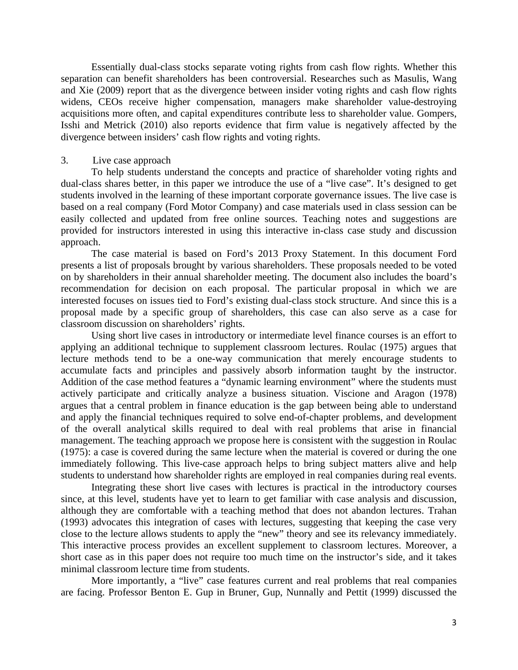Essentially dual-class stocks separate voting rights from cash flow rights. Whether this separation can benefit shareholders has been controversial. Researches such as Masulis, Wang and Xie (2009) report that as the divergence between insider voting rights and cash flow rights widens, CEOs receive higher compensation, managers make shareholder value-destroying acquisitions more often, and capital expenditures contribute less to shareholder value. Gompers, Isshi and Metrick (2010) also reports evidence that firm value is negatively affected by the divergence between insiders' cash flow rights and voting rights.

## 3. Live case approach

To help students understand the concepts and practice of shareholder voting rights and dual-class shares better, in this paper we introduce the use of a "live case". It's designed to get students involved in the learning of these important corporate governance issues. The live case is based on a real company (Ford Motor Company) and case materials used in class session can be easily collected and updated from free online sources. Teaching notes and suggestions are provided for instructors interested in using this interactive in-class case study and discussion approach.

The case material is based on Ford's 2013 Proxy Statement. In this document Ford presents a list of proposals brought by various shareholders. These proposals needed to be voted on by shareholders in their annual shareholder meeting. The document also includes the board's recommendation for decision on each proposal. The particular proposal in which we are interested focuses on issues tied to Ford's existing dual-class stock structure. And since this is a proposal made by a specific group of shareholders, this case can also serve as a case for classroom discussion on shareholders' rights.

Using short live cases in introductory or intermediate level finance courses is an effort to applying an additional technique to supplement classroom lectures. Roulac (1975) argues that lecture methods tend to be a one-way communication that merely encourage students to accumulate facts and principles and passively absorb information taught by the instructor. Addition of the case method features a "dynamic learning environment" where the students must actively participate and critically analyze a business situation. Viscione and Aragon (1978) argues that a central problem in finance education is the gap between being able to understand and apply the financial techniques required to solve end-of-chapter problems, and development of the overall analytical skills required to deal with real problems that arise in financial management. The teaching approach we propose here is consistent with the suggestion in Roulac (1975): a case is covered during the same lecture when the material is covered or during the one immediately following. This live-case approach helps to bring subject matters alive and help students to understand how shareholder rights are employed in real companies during real events.

Integrating these short live cases with lectures is practical in the introductory courses since, at this level, students have yet to learn to get familiar with case analysis and discussion, although they are comfortable with a teaching method that does not abandon lectures. Trahan (1993) advocates this integration of cases with lectures, suggesting that keeping the case very close to the lecture allows students to apply the "new" theory and see its relevancy immediately. This interactive process provides an excellent supplement to classroom lectures. Moreover, a short case as in this paper does not require too much time on the instructor's side, and it takes minimal classroom lecture time from students.

More importantly, a "live" case features current and real problems that real companies are facing. Professor Benton E. Gup in Bruner, Gup, Nunnally and Pettit (1999) discussed the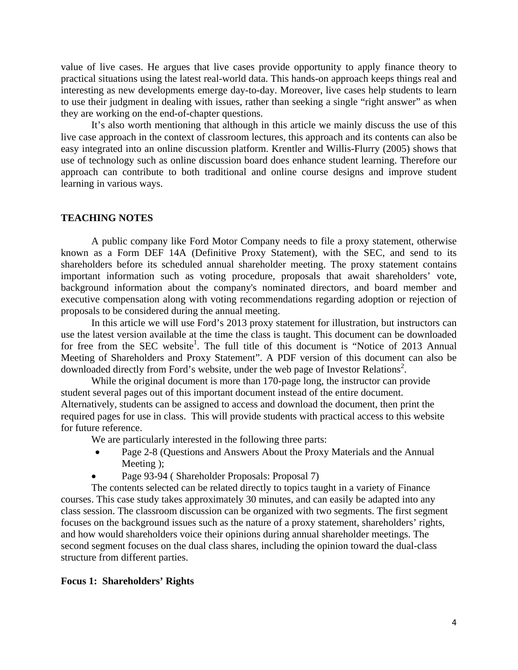value of live cases. He argues that live cases provide opportunity to apply finance theory to practical situations using the latest real-world data. This hands-on approach keeps things real and interesting as new developments emerge day-to-day. Moreover, live cases help students to learn to use their judgment in dealing with issues, rather than seeking a single "right answer" as when they are working on the end-of-chapter questions.

It's also worth mentioning that although in this article we mainly discuss the use of this live case approach in the context of classroom lectures, this approach and its contents can also be easy integrated into an online discussion platform. Krentler and Willis-Flurry (2005) shows that use of technology such as online discussion board does enhance student learning. Therefore our approach can contribute to both traditional and online course designs and improve student learning in various ways.

# **TEACHING NOTES**

 A public company like Ford Motor Company needs to file a proxy statement, otherwise known as a Form DEF 14A (Definitive Proxy Statement), with the SEC, and send to its shareholders before its scheduled annual shareholder meeting. The proxy statement contains important information such as voting procedure, proposals that await shareholders' vote, background information about the company's nominated directors, and board member and executive compensation along with voting recommendations regarding adoption or rejection of proposals to be considered during the annual meeting.

 In this article we will use Ford's 2013 proxy statement for illustration, but instructors can use the latest version available at the time the class is taught. This document can be downloaded for free from the SEC website<sup>1</sup>. The full title of this document is "Notice of 2013 Annual Meeting of Shareholders and Proxy Statement". A PDF version of this document can also be downloaded directly from Ford's website, under the web page of Investor Relations<sup>2</sup>.

 While the original document is more than 170-page long, the instructor can provide student several pages out of this important document instead of the entire document. Alternatively, students can be assigned to access and download the document, then print the required pages for use in class. This will provide students with practical access to this website for future reference.

We are particularly interested in the following three parts:

- Page 2-8 (Questions and Answers About the Proxy Materials and the Annual Meeting );
- Page 93-94 ( Shareholder Proposals: Proposal 7)

 The contents selected can be related directly to topics taught in a variety of Finance courses. This case study takes approximately 30 minutes, and can easily be adapted into any class session. The classroom discussion can be organized with two segments. The first segment focuses on the background issues such as the nature of a proxy statement, shareholders' rights, and how would shareholders voice their opinions during annual shareholder meetings. The second segment focuses on the dual class shares, including the opinion toward the dual-class structure from different parties.

# **Focus 1: Shareholders' Rights**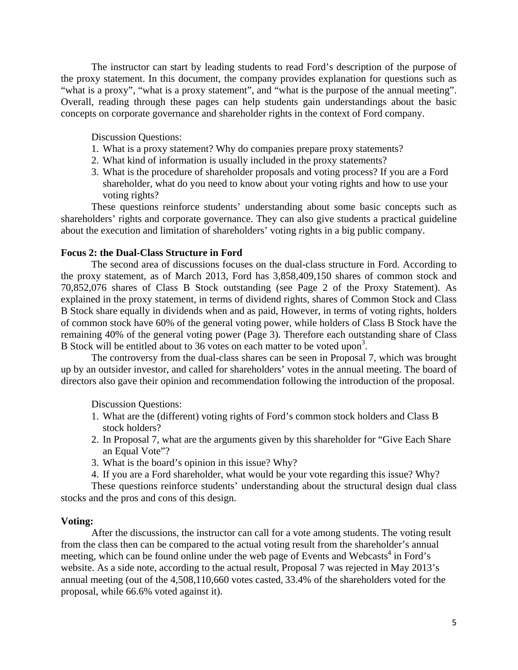The instructor can start by leading students to read Ford's description of the purpose of the proxy statement. In this document, the company provides explanation for questions such as "what is a proxy", "what is a proxy statement", and "what is the purpose of the annual meeting". Overall, reading through these pages can help students gain understandings about the basic concepts on corporate governance and shareholder rights in the context of Ford company.

Discussion Questions:

- 1. What is a proxy statement? Why do companies prepare proxy statements?
- 2. What kind of information is usually included in the proxy statements?
- 3. What is the procedure of shareholder proposals and voting process? If you are a Ford shareholder, what do you need to know about your voting rights and how to use your voting rights?

These questions reinforce students' understanding about some basic concepts such as shareholders' rights and corporate governance. They can also give students a practical guideline about the execution and limitation of shareholders' voting rights in a big public company.

# **Focus 2: the Dual-Class Structure in Ford**

The second area of discussions focuses on the dual-class structure in Ford. According to the proxy statement, as of March 2013, Ford has 3,858,409,150 shares of common stock and 70,852,076 shares of Class B Stock outstanding (see Page 2 of the Proxy Statement). As explained in the proxy statement, in terms of dividend rights, shares of Common Stock and Class B Stock share equally in dividends when and as paid, However, in terms of voting rights, holders of common stock have 60% of the general voting power, while holders of Class B Stock have the remaining 40% of the general voting power (Page 3). Therefore each outstanding share of Class B Stock will be entitled about to 36 votes on each matter to be voted upon<sup>3</sup>.

The controversy from the dual-class shares can be seen in Proposal 7, which was brought up by an outsider investor, and called for shareholders' votes in the annual meeting. The board of directors also gave their opinion and recommendation following the introduction of the proposal.

Discussion Questions:

- 1. What are the (different) voting rights of Ford's common stock holders and Class B stock holders?
- 2. In Proposal 7, what are the arguments given by this shareholder for "Give Each Share an Equal Vote"?
- 3. What is the board's opinion in this issue? Why?
- 4. If you are a Ford shareholder, what would be your vote regarding this issue? Why?

These questions reinforce students' understanding about the structural design dual class stocks and the pros and cons of this design.

# **Voting:**

After the discussions, the instructor can call for a vote among students. The voting result from the class then can be compared to the actual voting result from the shareholder's annual meeting, which can be found online under the web page of Events and Webcasts<sup>4</sup> in Ford's website. As a side note, according to the actual result, Proposal 7 was rejected in May 2013's annual meeting (out of the 4,508,110,660 votes casted, 33.4% of the shareholders voted for the proposal, while 66.6% voted against it).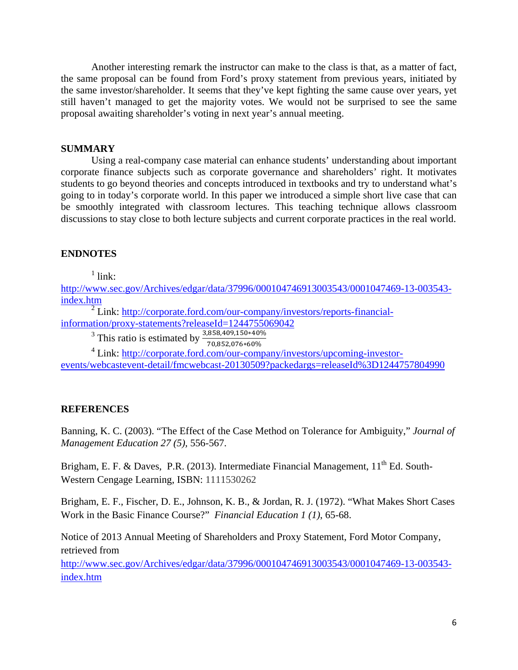Another interesting remark the instructor can make to the class is that, as a matter of fact, the same proposal can be found from Ford's proxy statement from previous years, initiated by the same investor/shareholder. It seems that they've kept fighting the same cause over years, yet still haven't managed to get the majority votes. We would not be surprised to see the same proposal awaiting shareholder's voting in next year's annual meeting.

# **SUMMARY**

Using a real-company case material can enhance students' understanding about important corporate finance subjects such as corporate governance and shareholders' right. It motivates students to go beyond theories and concepts introduced in textbooks and try to understand what's going to in today's corporate world. In this paper we introduced a simple short live case that can be smoothly integrated with classroom lectures. This teaching technique allows classroom discussions to stay close to both lecture subjects and current corporate practices in the real world.

# **ENDNOTES**

 $1$  link:

http://www.sec.gov/Archives/edgar/data/37996/000104746913003543/0001047469-13-003543 index.htm

<sup>2</sup> Link: http://corporate.ford.com/our-company/investors/reports-financialinformation/proxy-statements?releaseId=1244755069042

<sup>3</sup> This ratio is estimated by  $\frac{3,858,409,150*40\%}{70,852,076*60\%}$ 

<sup>4</sup> Link: http://corporate.ford.com/our-company/investors/upcoming-investorevents/webcastevent-detail/fmcwebcast-20130509?packedargs=releaseId%3D1244757804990

# **REFERENCES**

Banning, K. C. (2003). "The Effect of the Case Method on Tolerance for Ambiguity," *Journal of Management Education 27 (5),* 556-567.

Brigham, E. F. & Daves, P.R. (2013). Intermediate Financial Management,  $11<sup>th</sup>$  Ed. South-Western Cengage Learning, ISBN: 1111530262

Brigham, E. F., Fischer, D. E., Johnson, K. B., & Jordan, R. J. (1972). "What Makes Short Cases Work in the Basic Finance Course?" *Financial Education 1 (1)*, 65-68.

Notice of 2013 Annual Meeting of Shareholders and Proxy Statement, Ford Motor Company, retrieved from

http://www.sec.gov/Archives/edgar/data/37996/000104746913003543/0001047469-13-003543 index.htm